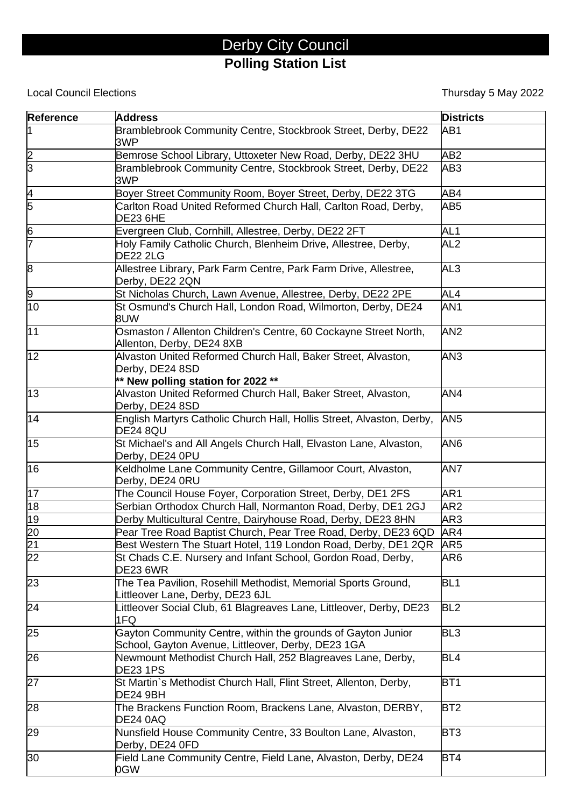## Derby City Council **Polling Station List**

## **Local Council Elections**

Thursday 5 May 2022

| <b>Reference</b> | <b>Address</b>                                                                                                         | <b>Districts</b> |
|------------------|------------------------------------------------------------------------------------------------------------------------|------------------|
|                  | Bramblebrook Community Centre, Stockbrook Street, Derby, DE22<br>3WP                                                   | AB1              |
| $\frac{2}{3}$    | Bemrose School Library, Uttoxeter New Road, Derby, DE22 3HU                                                            | AB <sub>2</sub>  |
|                  | Bramblebrook Community Centre, Stockbrook Street, Derby, DE22<br>3WP                                                   | AB <sub>3</sub>  |
| $\frac{4}{5}$    | Boyer Street Community Room, Boyer Street, Derby, DE22 3TG                                                             | AB4              |
|                  | Carlton Road United Reformed Church Hall, Carlton Road, Derby,<br><b>DE23 6HE</b>                                      | AB <sub>5</sub>  |
| 6                | Evergreen Club, Cornhill, Allestree, Derby, DE22 2FT                                                                   | AL <sub>1</sub>  |
| 7                | Holy Family Catholic Church, Blenheim Drive, Allestree, Derby,<br><b>DE22 2LG</b>                                      | AL <sub>2</sub>  |
| 8                | Allestree Library, Park Farm Centre, Park Farm Drive, Allestree,<br>Derby, DE22 2QN                                    | AL3              |
| 9                | St Nicholas Church, Lawn Avenue, Allestree, Derby, DE22 2PE                                                            | AL4              |
| 10               | St Osmund's Church Hall, London Road, Wilmorton, Derby, DE24<br>8UW                                                    | AN <sub>1</sub>  |
| 11               | Osmaston / Allenton Children's Centre, 60 Cockayne Street North,<br>Allenton, Derby, DE24 8XB                          | AN <sub>2</sub>  |
| 12               | Alvaston United Reformed Church Hall, Baker Street, Alvaston,<br>Derby, DE24 8SD<br>** New polling station for 2022 ** | AN <sub>3</sub>  |
| 13               | Alvaston United Reformed Church Hall, Baker Street, Alvaston,<br>Derby, DE24 8SD                                       | AN4              |
| 14               | English Martyrs Catholic Church Hall, Hollis Street, Alvaston, Derby,<br><b>DE24 8QU</b>                               | AN <sub>5</sub>  |
| 15               | St Michael's and All Angels Church Hall, Elvaston Lane, Alvaston,<br>Derby, DE24 0PU                                   | AN <sub>6</sub>  |
| 16               | Keldholme Lane Community Centre, Gillamoor Court, Alvaston,<br>Derby, DE24 0RU                                         | AN7              |
| $\overline{17}$  | The Council House Foyer, Corporation Street, Derby, DE1 2FS                                                            | AR1              |
| 18               | Serbian Orthodox Church Hall, Normanton Road, Derby, DE1 2GJ                                                           | AR <sub>2</sub>  |
| 19               | Derby Multicultural Centre, Dairyhouse Road, Derby, DE23 8HN                                                           | AR3              |
| 20               | Pear Tree Road Baptist Church, Pear Tree Road, Derby, DE23 6QD                                                         | AR4              |
| $\overline{21}$  | Best Western The Stuart Hotel, 119 London Road, Derby, DE1 2QR                                                         | AR <sub>5</sub>  |
| $\overline{22}$  | St Chads C.E. Nursery and Infant School, Gordon Road, Derby,<br><b>DE23 6WR</b>                                        | AR6              |
| 23               | The Tea Pavilion, Rosehill Methodist, Memorial Sports Ground,<br>Littleover Lane, Derby, DE23 6JL                      | BL <sub>1</sub>  |
| 24               | Littleover Social Club, 61 Blagreaves Lane, Littleover, Derby, DE23<br>1FQ                                             | BL <sub>2</sub>  |
| 25               | Gayton Community Centre, within the grounds of Gayton Junior<br>School, Gayton Avenue, Littleover, Derby, DE23 1GA     | BL <sub>3</sub>  |
| 26               | Newmount Methodist Church Hall, 252 Blagreaves Lane, Derby,<br><b>DE23 1PS</b>                                         | BL <sub>4</sub>  |
| 27               | St Martin`s Methodist Church Hall, Flint Street, Allenton, Derby,<br><b>DE24 9BH</b>                                   | BT <sub>1</sub>  |
| 28               | The Brackens Function Room, Brackens Lane, Alvaston, DERBY,<br><b>DE24 0AQ</b>                                         | BT <sub>2</sub>  |
| 29               | Nunsfield House Community Centre, 33 Boulton Lane, Alvaston,<br>Derby, DE24 0FD                                        | BT <sub>3</sub>  |
| 30               | Field Lane Community Centre, Field Lane, Alvaston, Derby, DE24<br>0GW                                                  | BT4              |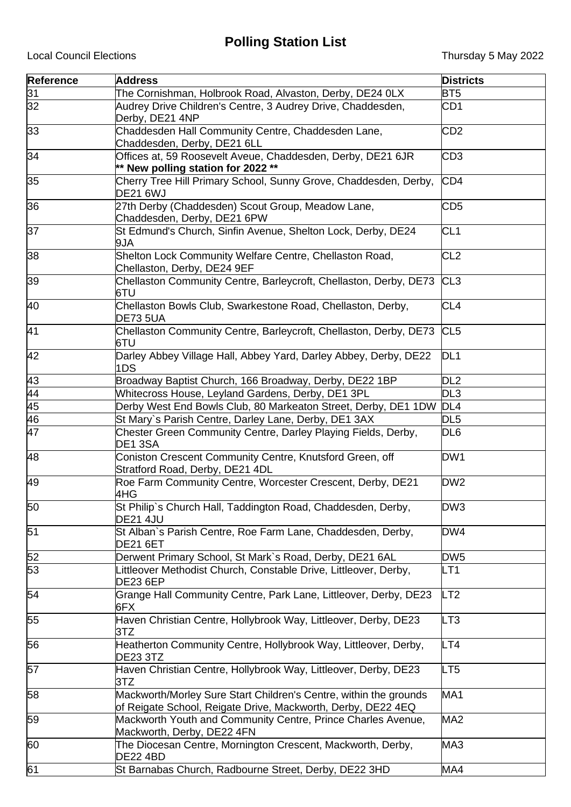## **Polling Station List**

| <b>Reference</b>                   | <b>Address</b>                                                                                                                    | <b>Districts</b> |
|------------------------------------|-----------------------------------------------------------------------------------------------------------------------------------|------------------|
| 31                                 | The Cornishman, Holbrook Road, Alvaston, Derby, DE24 0LX                                                                          | BT <sub>5</sub>  |
| $\overline{32}$                    | Audrey Drive Children's Centre, 3 Audrey Drive, Chaddesden,<br>Derby, DE21 4NP                                                    | CD <sub>1</sub>  |
| 33                                 | Chaddesden Hall Community Centre, Chaddesden Lane,<br>Chaddesden, Derby, DE21 6LL                                                 | CD <sub>2</sub>  |
| 34                                 | Offices at, 59 Roosevelt Aveue, Chaddesden, Derby, DE21 6JR<br>** New polling station for 2022 **                                 | CD <sub>3</sub>  |
| 35                                 | Cherry Tree Hill Primary School, Sunny Grove, Chaddesden, Derby,<br><b>DE21 6WJ</b>                                               | CD <sub>4</sub>  |
| 36                                 | 27th Derby (Chaddesden) Scout Group, Meadow Lane,<br>Chaddesden, Derby, DE21 6PW                                                  | CD <sub>5</sub>  |
| 37                                 | St Edmund's Church, Sinfin Avenue, Shelton Lock, Derby, DE24<br>9JA                                                               | CL <sub>1</sub>  |
| 38                                 | Shelton Lock Community Welfare Centre, Chellaston Road,<br>Chellaston, Derby, DE24 9EF                                            | CL <sub>2</sub>  |
| 39                                 | Chellaston Community Centre, Barleycroft, Chellaston, Derby, DE73<br>6TU                                                          | CL3              |
| 40                                 | Chellaston Bowls Club, Swarkestone Road, Chellaston, Derby,<br>DE73 5UA                                                           | CL <sub>4</sub>  |
| $\overline{41}$                    | Chellaston Community Centre, Barleycroft, Chellaston, Derby, DE73<br>6TU                                                          | CL <sub>5</sub>  |
| 42                                 | Darley Abbey Village Hall, Abbey Yard, Darley Abbey, Derby, DE22<br>1DS                                                           | DL <sub>1</sub>  |
| 43                                 | Broadway Baptist Church, 166 Broadway, Derby, DE22 1BP                                                                            | DL <sub>2</sub>  |
|                                    | Whitecross House, Leyland Gardens, Derby, DE1 3PL                                                                                 | DL <sub>3</sub>  |
| $\frac{44}{45}$<br>$\frac{45}{46}$ | Derby West End Bowls Club, 80 Markeaton Street, Derby, DE1 1DW                                                                    | DL4              |
|                                    | St Mary's Parish Centre, Darley Lane, Derby, DE1 3AX                                                                              | DL <sub>5</sub>  |
| 47                                 | Chester Green Community Centre, Darley Playing Fields, Derby,<br>DE1 3SA                                                          | DL <sub>6</sub>  |
| 48                                 | Coniston Crescent Community Centre, Knutsford Green, off<br>Stratford Road, Derby, DE21 4DL                                       | DW1              |
| 49                                 | Roe Farm Community Centre, Worcester Crescent, Derby, DE21<br>4HG                                                                 | DW <sub>2</sub>  |
| 50                                 | St Philip's Church Hall, Taddington Road, Chaddesden, Derby,<br><b>DE21 4JU</b>                                                   | DW <sub>3</sub>  |
| $\overline{51}$                    | St Alban's Parish Centre, Roe Farm Lane, Chaddesden, Derby,<br>DE21 6ET                                                           | DW4              |
| 52                                 | Derwent Primary School, St Mark's Road, Derby, DE21 6AL                                                                           | DW <sub>5</sub>  |
| 53                                 | Littleover Methodist Church, Constable Drive, Littleover, Derby,<br><b>DE23 6EP</b>                                               | LT <sub>1</sub>  |
| 54                                 | Grange Hall Community Centre, Park Lane, Littleover, Derby, DE23<br>6FX                                                           | LT2              |
| 55                                 | Haven Christian Centre, Hollybrook Way, Littleover, Derby, DE23<br>3TZ                                                            | LT3              |
| 56                                 | Heatherton Community Centre, Hollybrook Way, Littleover, Derby,<br><b>DE23 3TZ</b>                                                | LT4              |
| 57                                 | Haven Christian Centre, Hollybrook Way, Littleover, Derby, DE23<br>3TZ                                                            | LT <sub>5</sub>  |
| 58                                 | Mackworth/Morley Sure Start Children's Centre, within the grounds<br>of Reigate School, Reigate Drive, Mackworth, Derby, DE22 4EQ | MA <sub>1</sub>  |
| 59                                 | Mackworth Youth and Community Centre, Prince Charles Avenue,<br>Mackworth, Derby, DE22 4FN                                        | MA <sub>2</sub>  |
| 60                                 | The Diocesan Centre, Mornington Crescent, Mackworth, Derby,<br><b>DE22 4BD</b>                                                    | MA3              |
| 61                                 | St Barnabas Church, Radbourne Street, Derby, DE22 3HD                                                                             | MA4              |